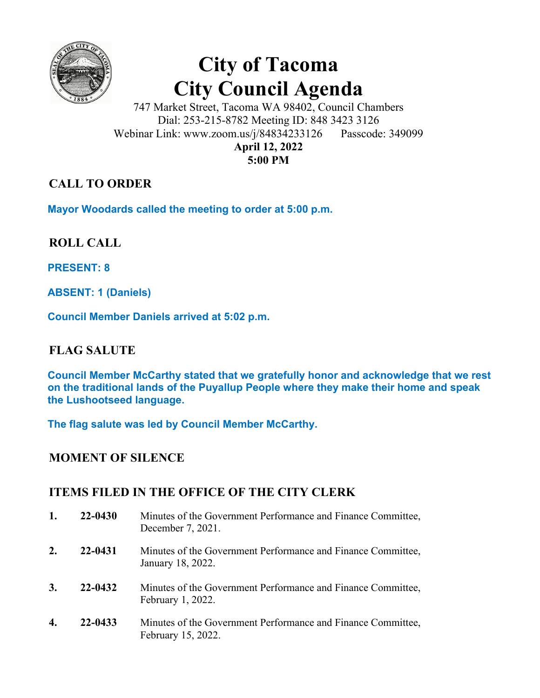

# **City of Tacoma City Council Agenda**

747 Market Street, Tacoma WA 98402, Council Chambers Dial: 253-215-8782 Meeting ID: 848 3423 3126 Webinar Link: www.zoom.us/j/84834233126 Passcode: 349099 **April 12, 2022 5:00 PM** 

# **CALL TO ORDER**

**Mayor Woodards called the meeting to order at 5:00 p.m.** 

**ROLL CALL** 

**PRESENT: 8** 

**ABSENT: 1 (Daniels)** 

**Council Member Daniels arrived at 5:02 p.m.** 

# **FLAG SALUTE**

**Council Member McCarthy stated that we gratefully honor and acknowledge that we rest on the traditional lands of the Puyallup People where they make their home and speak the Lushootseed language.** 

**The flag salute was led by Council Member McCarthy.** 

## **MOMENT OF SILENCE**

## **ITEMS FILED IN THE OFFICE OF THE CITY CLERK**

| 1. | 22-0430 | Minutes of the Government Performance and Finance Committee,<br>December 7, 2021.  |
|----|---------|------------------------------------------------------------------------------------|
| 2. | 22-0431 | Minutes of the Government Performance and Finance Committee,<br>January 18, 2022.  |
| 3. | 22-0432 | Minutes of the Government Performance and Finance Committee,<br>February 1, 2022.  |
| 4. | 22-0433 | Minutes of the Government Performance and Finance Committee,<br>February 15, 2022. |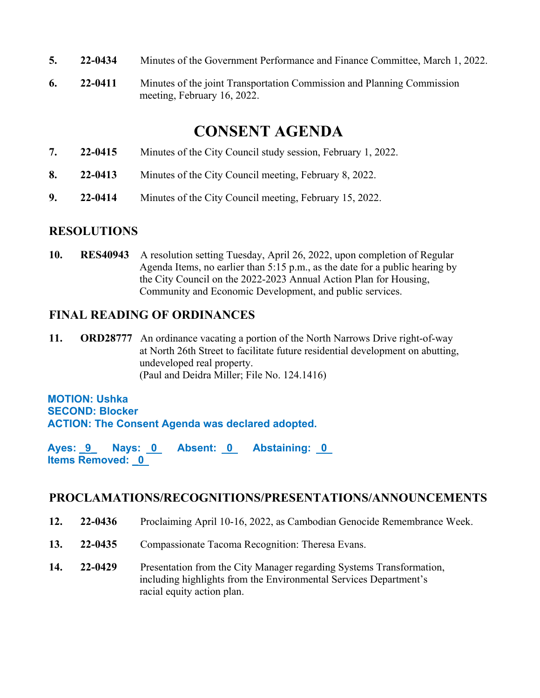- **5. 22-0434** Minutes of the Government Performance and Finance Committee, March 1, 2022.
- **6. 22-0411** Minutes of the joint Transportation Commission and Planning Commission meeting, February 16, 2022.

# **CONSENT AGENDA**

- **7. 22-0415** Minutes of the City Council study session, February 1, 2022.
- **8. 22-0413** Minutes of the City Council meeting, February 8, 2022.
- **9. 22-0414** Minutes of the City Council meeting, February 15, 2022.

#### **RESOLUTIONS**

**10. RES40943** A resolution setting Tuesday, April 26, 2022, upon completion of Regular Agenda Items, no earlier than 5:15 p.m., as the date for a public hearing by the City Council on the 2022-2023 Annual Action Plan for Housing, Community and Economic Development, and public services.

### **FINAL READING OF ORDINANCES**

**11. ORD28777** An ordinance vacating a portion of the North Narrows Drive right-of-way at North 26th Street to facilitate future residential development on abutting, undeveloped real property. (Paul and Deidra Miller; File No. 124.1416)

#### **MOTION: Ushka SECOND: Blocker ACTION: The Consent Agenda was declared adopted.**

Ayes: 9 Nays: 0 Absent: 0 Abstaining: 0 **Items Removed: \_0** 

#### **PROCLAMATIONS/RECOGNITIONS/PRESENTATIONS/ANNOUNCEMENTS**

- **12. 22-0436** Proclaiming April 10-16, 2022, as Cambodian Genocide Remembrance Week.
- **13. 22-0435** Compassionate Tacoma Recognition: Theresa Evans.
- **14. 22-0429** Presentation from the City Manager regarding Systems Transformation, including highlights from the Environmental Services Department's racial equity action plan.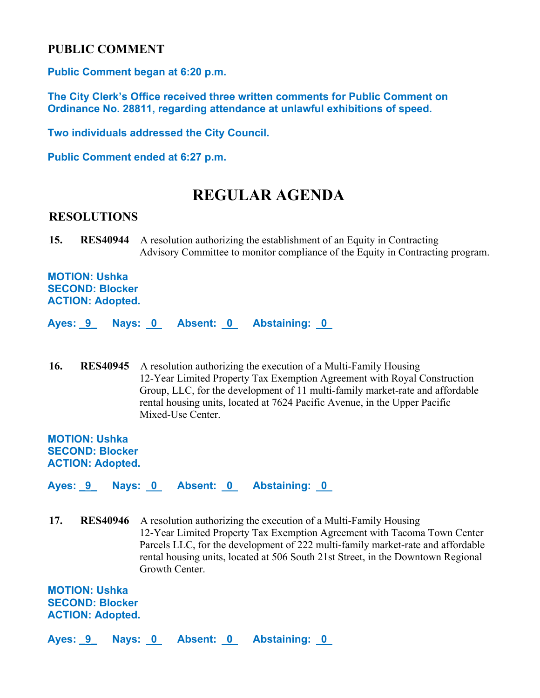#### **PUBLIC COMMENT**

**Public Comment began at 6:20 p.m.** 

**The City Clerk's Office received three written comments for Public Comment on Ordinance No. 28811, regarding attendance at unlawful exhibitions of speed.** 

**Two individuals addressed the City Council.** 

**Public Comment ended at 6:27 p.m.** 

# **REGULAR AGENDA**

#### **RESOLUTIONS**

**15. RES40944** A resolution authorizing the establishment of an Equity in Contracting Advisory Committee to monitor compliance of the Equity in Contracting program.

**MOTION: Ushka SECOND: Blocker ACTION: Adopted.** 

**Ayes: \_9\_ Nays: 0 Absent: 0 Abstaining: 0** 

**16. RES40945** A resolution authorizing the execution of a Multi-Family Housing 12-Year Limited Property Tax Exemption Agreement with Royal Construction Group, LLC, for the development of 11 multi-family market-rate and affordable rental housing units, located at 7624 Pacific Avenue, in the Upper Pacific Mixed-Use Center.

**MOTION: Ushka SECOND: Blocker ACTION: Adopted.** 

Ayes: 9 Nays: 0 Absent: 0 Abstaining: 0

**17. RES40946** A resolution authorizing the execution of a Multi-Family Housing 12-Year Limited Property Tax Exemption Agreement with Tacoma Town Center Parcels LLC, for the development of 222 multi-family market-rate and affordable rental housing units, located at 506 South 21st Street, in the Downtown Regional Growth Center.

**MOTION: Ushka SECOND: Blocker ACTION: Adopted.** 

**Ayes: \_9\_ Nays: 0 Absent: 0 Abstaining: 0**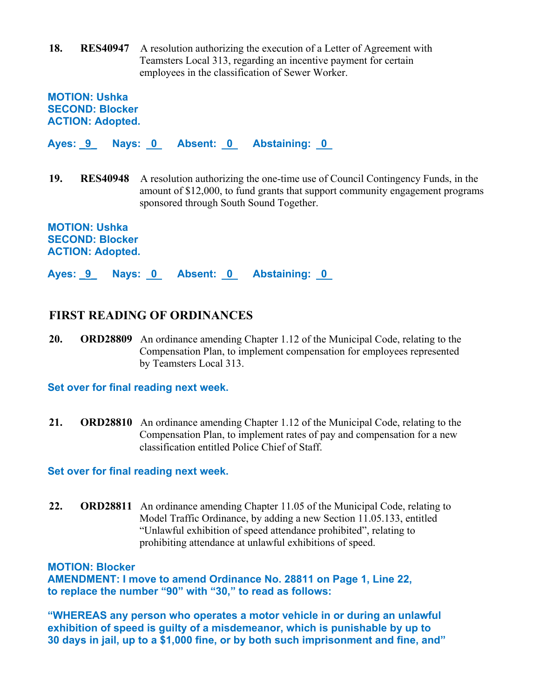**18. RES40947** A resolution authorizing the execution of a Letter of Agreement with Teamsters Local 313, regarding an incentive payment for certain employees in the classification of Sewer Worker.

**MOTION: Ushka SECOND: Blocker ACTION: Adopted.** 

**Ayes: \_9\_ Nays: 0 Absent: 0 Abstaining: 0** 

**19. RES40948** A resolution authorizing the one-time use of Council Contingency Funds, in the amount of \$12,000, to fund grants that support community engagement programs sponsored through South Sound Together.

**MOTION: Ushka SECOND: Blocker ACTION: Adopted.** 

**Ayes: \_9\_ Nays: 0 Absent: 0 Abstaining: 0** 

#### **FIRST READING OF ORDINANCES**

**20. ORD28809** An ordinance amending Chapter 1.12 of the Municipal Code, relating to the Compensation Plan, to implement compensation for employees represented by Teamsters Local 313.

#### **Set over for final reading next week.**

**21. ORD28810** An ordinance amending Chapter 1.12 of the Municipal Code, relating to the Compensation Plan, to implement rates of pay and compensation for a new classification entitled Police Chief of Staff.

**Set over for final reading next week.** 

**22. ORD28811** An ordinance amending Chapter 11.05 of the Municipal Code, relating to Model Traffic Ordinance, by adding a new Section 11.05.133, entitled "Unlawful exhibition of speed attendance prohibited", relating to prohibiting attendance at unlawful exhibitions of speed.

**MOTION: Blocker** 

**AMENDMENT: I move to amend Ordinance No. 28811 on Page 1, Line 22, to replace the number "90" with "30," to read as follows:** 

**"WHEREAS any person who operates a motor vehicle in or during an unlawful exhibition of speed is guilty of a misdemeanor, which is punishable by up to 30 days in jail, up to a \$1,000 fine, or by both such imprisonment and fine, and"**